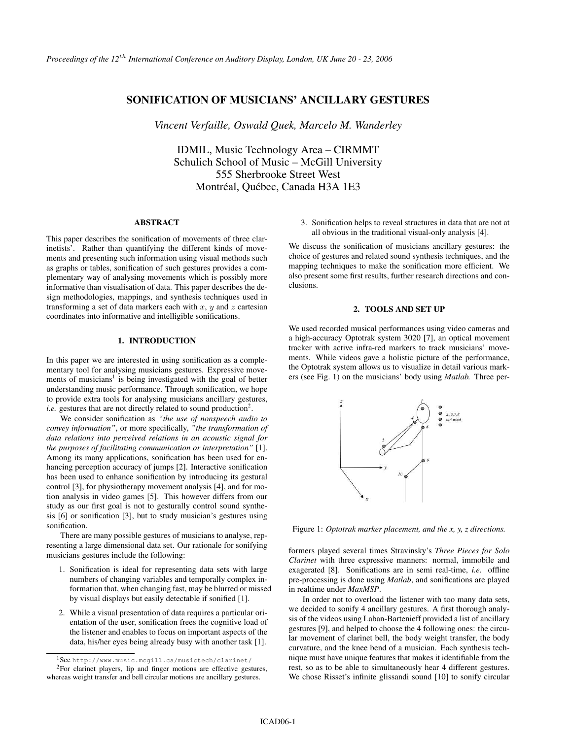# SONIFICATION OF MUSICIANS' ANCILLARY GESTURES

*Vincent Verfaille, Oswald Quek, Marcelo M. Wanderley*

IDMIL, Music Technology Area – CIRMMT Schulich School of Music – McGill University 555 Sherbrooke Street West Montréal, Québec, Canada H3A 1E3

### ABSTRACT

This paper describes the sonification of movements of three clarinetists'. Rather than quantifying the different kinds of movements and presenting such information using visual methods such as graphs or tables, sonification of such gestures provides a complementary way of analysing movements which is possibly more informative than visualisation of data. This paper describes the design methodologies, mappings, and synthesis techniques used in transforming a set of data markers each with  $x$ ,  $y$  and  $z$  cartesian coordinates into informative and intelligible sonifications.

### 1. INTRODUCTION

In this paper we are interested in using sonification as a complementary tool for analysing musicians gestures. Expressive movements of musicians<sup>1</sup> is being investigated with the goal of better understanding music performance. Through sonification, we hope to provide extra tools for analysing musicians ancillary gestures, *i.e.* gestures that are not directly related to sound production<sup>2</sup>.

We consider sonification as *"the use of nonspeech audio to convey information"*, or more specifically, *"the transformation of data relations into perceived relations in an acoustic signal for the purposes of facilitating communication or interpretation"* [1]. Among its many applications, sonification has been used for enhancing perception accuracy of jumps [2]. Interactive sonification has been used to enhance sonification by introducing its gestural control [3], for physiotherapy movement analysis [4], and for motion analysis in video games [5]. This however differs from our study as our first goal is not to gesturally control sound synthesis [6] or sonification [3], but to study musician's gestures using sonification.

There are many possible gestures of musicians to analyse, representing a large dimensional data set. Our rationale for sonifying musicians gestures include the following:

- 1. Sonification is ideal for representing data sets with large numbers of changing variables and temporally complex information that, when changing fast, may be blurred or missed by visual displays but easily detectable if sonified [1].
- 2. While a visual presentation of data requires a particular orientation of the user, sonification frees the cognitive load of the listener and enables to focus on important aspects of the data, his/her eyes being already busy with another task [1].

3. Sonification helps to reveal structures in data that are not at all obvious in the traditional visual-only analysis [4].

We discuss the sonification of musicians ancillary gestures: the choice of gestures and related sound synthesis techniques, and the mapping techniques to make the sonification more efficient. We also present some first results, further research directions and conclusions.

# 2. TOOLS AND SET UP

We used recorded musical performances using video cameras and a high-accuracy Optotrak system 3020 [7], an optical movement tracker with active infra-red markers to track musicians' movements. While videos gave a holistic picture of the performance, the Optotrak system allows us to visualize in detail various markers (see Fig. 1) on the musicians' body using *Matlab.* Three per-



Figure 1: *Optotrak marker placement, and the x, y, z directions.*

formers played several times Stravinsky's *Three Pieces for Solo Clarinet* with three expressive manners: normal, immobile and exagerated [8]. Sonifications are in semi real-time, *i.e.* offline pre-processing is done using *Matlab*, and sonifications are played in realtime under *MaxMSP*.

In order not to overload the listener with too many data sets, we decided to sonify 4 ancillary gestures. A first thorough analysis of the videos using Laban-Bartenieff provided a list of ancillary gestures [9], and helped to choose the 4 following ones: the circular movement of clarinet bell, the body weight transfer, the body curvature, and the knee bend of a musician. Each synthesis technique must have unique features that makes it identifiable from the rest, so as to be able to simultaneously hear 4 different gestures. We chose Risset's infinite glissandi sound [10] to sonify circular

<sup>&</sup>lt;sup>1</sup>See http://www.music.mcgill.ca/musictech/clarinet/ <sup>2</sup>For clarinet players, lip and finger motions are effective gestures, whereas weight transfer and bell circular motions are ancillary gestures.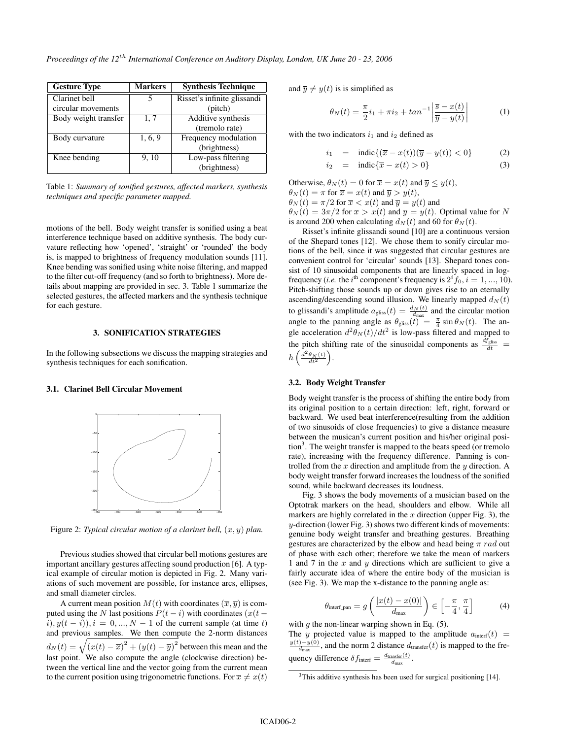| <b>Gesture Type</b>  | <b>Markers</b> | <b>Synthesis Technique</b>  |
|----------------------|----------------|-----------------------------|
| Clarinet bell        |                | Risset's infinite glissandi |
| circular movements   |                | (pitch)                     |
| Body weight transfer | 1, 7           | Additive synthesis          |
|                      |                | (tremolo rate)              |
| Body curvature       | 1, 6, 9        | Frequency modulation        |
|                      |                | (brightness)                |
| Knee bending         | 9.10           | Low-pass filtering          |
|                      |                | (brightness)                |

Table 1: *Summary of sonified gestures, affected markers, synthesis techniques and specific parameter mapped.*

motions of the bell. Body weight transfer is sonified using a beat interference technique based on additive synthesis. The body curvature reflecting how 'opened', 'straight' or 'rounded' the body is, is mapped to brightness of frequency modulation sounds [11]. Knee bending was sonified using white noise filtering, and mapped to the filter cut-off frequency (and so forth to brightness). More details about mapping are provided in sec. 3. Table 1 summarize the selected gestures, the affected markers and the synthesis technique for each gesture.

# 3. SONIFICATION STRATEGIES

In the following subsections we discuss the mapping strategies and synthesis techniques for each sonification.

# 3.1. Clarinet Bell Circular Movement



Figure 2: *Typical circular motion of a clarinet bell*,  $(x, y)$  *plan.* 

Previous studies showed that circular bell motions gestures are important ancillary gestures affecting sound production [6]. A typical example of circular motion is depicted in Fig. 2. Many variations of such movement are possible, for instance arcs, ellipses, and small diameter circles.

A current mean position  $M(t)$  with coordinates  $(\overline{x}, \overline{y})$  is computed using the N last positions  $P(t - i)$  with coordinates  $(x(t - i))$  $(i), y(t - i), i = 0, ..., N - 1$  of the current sample (at time t) and previous samples. We then compute the 2-norm distances  $d_N(t) = \sqrt{(x(t) - \overline{x})^2 + (y(t) - \overline{y})^2}$  between this mean and the last point. We also compute the angle (clockwise direction) between the vertical line and the vector going from the current mean to the current position using trigonometric functions. For  $\overline{x} \neq x(t)$ 

and  $\overline{y} \neq y(t)$  is is simplified as

$$
\theta_N(t) = \frac{\pi}{2}i_1 + \pi i_2 + \tan^{-1} \left| \frac{\overline{s} - x(t)}{\overline{y} - y(t)} \right| \tag{1}
$$

with the two indicators  $i_1$  and  $i_2$  defined as

$$
i_1 = \text{indic}\{(\overline{x} - x(t))(\overline{y} - y(t)) < 0\} \tag{2}
$$

$$
i_2 = \text{indic}\{\overline{x} - x(t) > 0\} \tag{3}
$$

Otherwise,  $\theta_N(t) = 0$  for  $\overline{x} = x(t)$  and  $\overline{y} \leq y(t)$ ,  $\theta_N(t) = \pi$  for  $\overline{x} = x(t)$  and  $\overline{y} > y(t)$ ,  $\theta_N(t) = \pi/2$  for  $\overline{x} < x(t)$  and  $\overline{y} = y(t)$  and

 $\theta_N(t) = 3\pi/2$  for  $\bar{x} > x(t)$  and  $\bar{y} = y(t)$ . Optimal value for N is around 200 when calculating  $d_N(t)$  and 60 for  $\theta_N(t)$ .

Risset's infinite glissandi sound [10] are a continuous version of the Shepard tones [12]. We chose them to sonify circular motions of the bell, since it was suggested that circular gestures are convenient control for 'circular' sounds [13]. Shepard tones consist of 10 sinusoidal components that are linearly spaced in logfrequency (*i.e.* the *i*<sup>th</sup> component's frequency is  $2^{i} f_0$ ,  $i = 1, ..., 10$ ). Pitch-shifting those sounds up or down gives rise to an eternally ascending/descending sound illusion. We linearly mapped  $d_N(t)$ to glissandi's amplitude  $a_{\text{glass}}(t) = \frac{d_N(t)}{d_{\text{max}}}$  and the circular motion angle to the panning angle as  $\theta_{\text{glass}}(t) = \frac{\pi}{4} \sin \theta_N(t)$ . The angle acceleration  $d^2\theta_N(t)/dt^2$  is low-pass filtered and mapped to the pitch shifting rate of the sinusoidal components as  $\frac{df_{\text{gliss}}}{dt}$  =  $h\left(\frac{d^2\theta_N(t)}{dt^2}\right)$ .

#### 3.2. Body Weight Transfer

Body weight transfer is the process of shifting the entire body from its original position to a certain direction: left, right, forward or backward. We used beat interference(resulting from the addition of two sinusoids of close frequencies) to give a distance measure between the musican's current position and his/her original position<sup>3</sup>. The weight transfer is mapped to the beats speed (or tremolo rate), increasing with the frequency difference. Panning is controlled from the  $x$  direction and amplitude from the  $y$  direction. A body weight transfer forward increases the loudness of the sonified sound, while backward decreases its loudness.

Fig. 3 shows the body movements of a musician based on the Optotrak markers on the head, shoulders and elbow. While all markers are highly correlated in the  $x$  direction (upper Fig. 3), the y-direction (lower Fig. 3) shows two different kinds of movements: genuine body weight transfer and breathing gestures. Breathing gestures are characterized by the elbow and head being  $\pi$  rad out of phase with each other; therefore we take the mean of markers 1 and 7 in the  $x$  and  $y$  directions which are sufficient to give a fairly accurate idea of where the entire body of the musician is (see Fig. 3). We map the x-distance to the panning angle as:

$$
\theta_{\text{interf.pan}} = g\left(\frac{|x(t) - x(0)|}{d_{\text{max}}}\right) \in \left[-\frac{\pi}{4}, \frac{\pi}{4}\right] \tag{4}
$$

with  $g$  the non-linear warping shown in Eq.  $(5)$ .

The y projected value is mapped to the amplitude  $a_{\text{interf}}(t)$  =  $\frac{y(t)-y(0)}{d_{\text{max}}}$ , and the norm 2 distance  $d_{\text{transfer}}(t)$  is mapped to the frequency difference  $\delta f_{\text{interf}} = \frac{d_{\text{transfer}}(t)}{d_{\text{max}}}$ .

 $3$ This additive synthesis has been used for surgical positioning [14].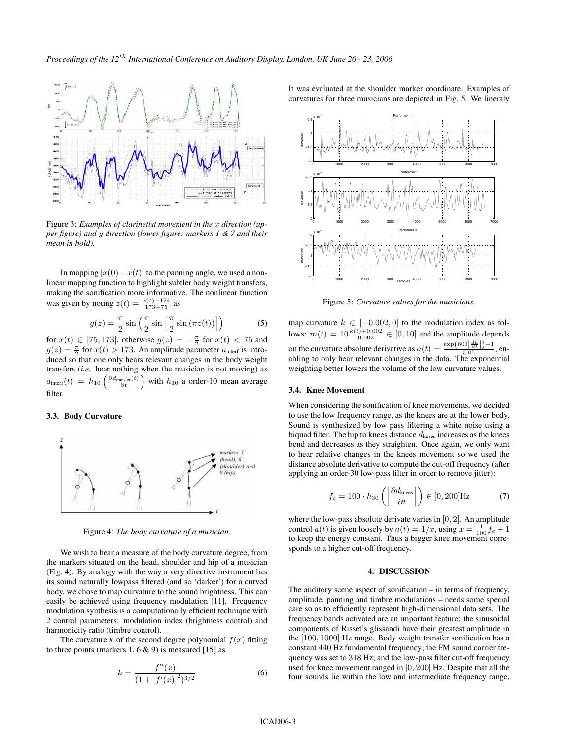

Figure 3: *Examples of clarinetist movement in the* x *direction (upper figure) and* y *direction (lower figure: markers 1 & 7 and their mean in bold).*

In mapping  $|x(0)-x(t)|$  to the panning angle, we used a nonlinear mapping function to highlight subtler body weight transfers, making the sonification more informative. The nonlinear function was given by noting  $z(t) = \frac{x(t) - 124}{173 - 75}$  as

$$
g(z) = \frac{\pi}{2} \sin\left(\frac{\pi}{2} \sin\left[\frac{\pi}{2} \sin\left(\pi z(t)\right)\right]\right)
$$
 (5)

for  $x(t) \in [75, 173]$ , otherwise  $g(z) = -\frac{\pi}{2}$  for  $x(t) < 75$  and  $g(z) = \frac{\pi}{2}$  for  $x(t) > 173$ . An amplitude parameter  $a_{\text{interf}}$  is introduced so that one only hears relevant changes in the body weight transfers (*i.e.* hear nothing when the musician is not moving) as  $a_{\text{interf}}(t) = h_{10} \left( \frac{\partial d_{\text{transfer}}(t)}{\partial t} \right)$  with  $h_{10}$  a order-10 mean average filter.

#### 3.3. Body Curvature



Figure 4: *The body curvature of a musician.*

We wish to hear a measure of the body curvature degree, from the markers situated on the head, shoulder and hip of a musician (Fig. 4). By analogy with the way a very directive instrument has its sound naturally lowpass filtered (and so 'darker') for a curved body, we chose to map curvature to the sound brightness. This can easily be achieved using frequency modulation [11]. Frequency modulation synthesis is a computationally efficient technique with 2 control parameters: modulation index (brightness control) and harmonicity ratio (timbre control).

The curvature k of the second degree polynomial  $f(x)$  fitting to three points (markers 1,  $6 \& 9$ ) is measured [15] as

$$
k = \frac{f''(x)}{(1 + [f'(x)]^2)^{3/2}}
$$
 (6)

It was evaluated at the shoulder marker coordinate. Examples of curvatures for three musicians are depicted in Fig. 5. We lineraly



Figure 5: *Curvature values for the musicians.*

map curvature  $k \in [-0.002, 0]$  to the modulation index as follows:  $m(t) = 10 \frac{k(t) + 0.002}{0.002} \in [0, 10]$  and the amplitude depends on the curvature absolute derivative as  $a(t) = \frac{\exp(600\left|\frac{dk}{dt}\right|)-1}{5.05}$ , enabling to only hear relevant changes in the data. The exponential weighting better lowers the volume of the low curvature values.

# 3.4. Knee Movement

When considering the sonification of knee movements, we decided to use the low frequency range, as the knees are at the lower body. Sound is synthesized by low pass filtering a white noise using a biquad filter. The hip to knees distance  $d_{\text{knee}}$  increases as the knees bend and decreases as they straighten. Once again, we only want to hear relative changes in the knees movement so we used the distance absolute derivative to compute the cut-off frequency (after applying an order-30 low-pass filter in order to remove jitter):

$$
f_c = 100 \cdot h_{30} \left( \left| \frac{\partial d_{\text{knee}}}{\partial t} \right| \right) \in [0, 200] \text{Hz}
$$
 (7)

where the low-pass absolute derivate varies in  $[0, 2]$ . An amplitude control  $a(t)$  is given loosely by  $a(t) = 1/x$ , using  $x = \frac{1}{100} f_c + 1$ to keep the energy constant. Thus a bigger knee movement corresponds to a higher cut-off frequency.

#### 4. DISCUSSION

The auditory scene aspect of sonification – in terms of frequency, amplitude, panning and timbre modulations – needs some special care so as to efficiently represent high-dimensional data sets. The frequency bands activated are an important feature: the sinusoidal components of Risset's glissandi have their greatest amplitude in the [100, 1000] Hz range. Body weight transfer sonification has a constant 440 Hz fundamental frequency; the FM sound carrier frequency was set to 318 Hz; and the low-pass filter cut-off frequency used for knee movement ranged in [0, 200] Hz. Despite that all the four sounds lie within the low and intermediate frequency range,